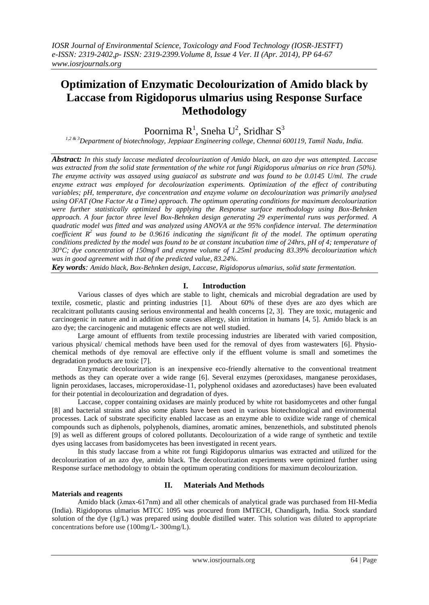# **Optimization of Enzymatic Decolourization of Amido black by Laccase from Rigidoporus ulmarius using Response Surface Methodology**

Poornima R<sup>1</sup>, Sneha U<sup>2</sup>, Sridhar S<sup>3</sup>

*1,2 & 3Department of biotechnology, Jeppiaar Engineering college, Chennai 600119, Tamil Nadu, India.*

*Abstract: In this study laccase mediated decolourization of Amido black, an azo dye was attempted. Laccase was extracted from the solid state fermentation of the white rot fungi Rigidoporus ulmarius on rice bran (50%). The enzyme activity was assayed using guaiacol as substrate and was found to be 0.0145 U/ml. The crude enzyme extract was employed for decolourization experiments. Optimization of the effect of contributing variables; pH, temperature, dye concentration and enzyme volume on decolourization was primarily analysed using OFAT (One Factor At a Time) approach. The optimum operating conditions for maximum decolourization were further statistically optimized by applying the Response surface methodology using Box-Behnken approach. A four factor three level Box-Behnken design generating 29 experimental runs was performed. A quadratic model was fitted and was analyzed using ANOVA at the 95% confidence interval. The determination coefficient R<sup>2</sup> was found to be 0.9616 indicating the significant fit of the model. The optimum operating conditions predicted by the model was found to be at constant incubation time of 24hrs, pH of 4; temperature of 30°C; dye concentration of 150mg/l and enzyme volume of 1.25ml producing 83.39% decolourization which was in good agreement with that of the predicted value, 83.24%.*

*Key words: Amido black, Box-Behnken design, Laccase, Rigidoporus ulmarius, solid state fermentation.*

## **I. Introduction**

Various classes of dyes which are stable to light, chemicals and microbial degradation are used by textile, cosmetic, plastic and printing industries [1]. About 60% of these dyes are azo dyes which are recalcitrant pollutants causing serious environmental and health concerns [2, 3]. They are toxic, mutagenic and carcinogenic in nature and in addition some causes allergy, skin irritation in humans [4, 5]. Amido black is an azo dye; the carcinogenic and mutagenic effects are not well studied.

Large amount of effluents from textile processing industries are liberated with varied composition, various physical/ chemical methods have been used for the removal of dyes from wastewaters [6]. Physiochemical methods of dye removal are effective only if the effluent volume is small and sometimes the degradation products are toxic [7].

Enzymatic decolourization is an inexpensive eco-friendly alternative to the conventional treatment methods as they can operate over a wide range [6]. Several enzymes (peroxidases, manganese peroxidases, lignin peroxidases, laccases, microperoxidase-11, polyphenol oxidases and azoreductases) have been evaluated for their potential in decolourization and degradation of dyes.

Laccase, copper containing oxidases are mainly produced by white rot basidomycetes and other fungal [8] and bacterial strains and also some plants have been used in various biotechnological and environmental processes. Lack of substrate specificity enabled laccase as an enzyme able to oxidize wide range of chemical compounds such as diphenols, polyphenols, diamines, aromatic amines, benzenethiols, and substituted phenols [9] as well as different groups of colored pollutants. Decolourization of a wide range of synthetic and textile dyes using laccases from basidomycetes has been investigated in recent years.

In this study laccase from a white rot fungi Rigidoporus ulmarius was extracted and utilized for the decolourization of an azo dye, amido black. The decolourization experiments were optimized further using Response surface methodology to obtain the optimum operating conditions for maximum decolourization.

## **Materials and reagents**

## **II. Materials And Methods**

Amido black (λmax-617nm) and all other chemicals of analytical grade was purchased from HI-Media (India). Rigidoporus ulmarius MTCC 1095 was procured from IMTECH, Chandigarh, India. Stock standard solution of the dye (1g/L) was prepared using double distilled water. This solution was diluted to appropriate concentrations before use (100mg/L- 300mg/L).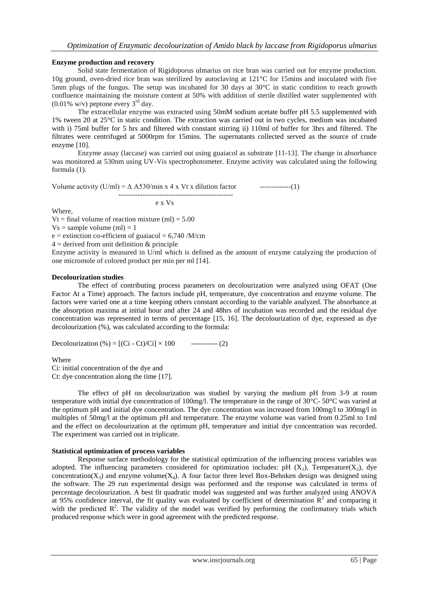## **Enzyme production and recovery**

Solid state fermentation of Rigidoporus ulmarius on rice bran was carried out for enzyme production. 10g ground, oven-dried rice bran was sterilized by autoclaving at 121°C for 15mins and inoculated with five 5mm plugs of the fungus. The setup was incubated for 30 days at 30°C in static condition to reach growth confluence maintaining the moisture content at 50% with addition of sterile distilled water supplemented with  $(0.01\%$  w/v) peptone every 3<sup>rd</sup> day.

The extracellular enzyme was extracted using 50mM sodium acetate buffer pH 5.5 supplemented with 1% tween 20 at 25°C in static condition. The extraction was carried out in two cycles, medium was incubated with i) 75ml buffer for 5 hrs and filtered with constant stirring ii) 110ml of buffer for 3hrs and filtered. The filtrates were centrifuged at 5000rpm for 15mins. The supernatants collected served as the source of crude enzyme [10].

Enzyme assay (laccase) was carried out using guaiacol as substrate [11-13]. The change in absorbance was monitored at 530nm using UV-Vis spectrophotometer. Enzyme activity was calculated using the following formula (1).

Volume activity  $(U/ml) = \Delta A530/min \times 4 \times Vt \times dilution factor$  --------------(1) ------------------------------------------------

e x Vs

Where,

 $Vt = final volume of reaction mixture (ml) = 5.00$ 

 $Vs = sample volume (ml) = 1$ 

 $e =$  extinction co-efficient of guaiacol = 6,740 /M/cm

 $4 =$  derived from unit definition  $\&$  principle

Enzyme activity is measured in U/ml which is defined as the amount of enzyme catalyzing the production of one micromole of colored product per min per ml [14].

#### **Decolourization studies**

The effect of contributing process parameters on decolourization were analyzed using OFAT (One Factor At a Time) approach. The factors include pH, temperature, dye concentration and enzyme volume. The factors were varied one at a time keeping others constant according to the variable analyzed. The absorbance at the absorption maxima at initial hour and after 24 and 48hrs of incubation was recorded and the residual dye concentration was represented in terms of percentage [15, 16]. The decolourization of dye, expressed as dye decolourization (%), was calculated according to the formula:

Decolourization  $\left(\% \right) = \left[ (Ci - Ct)/Ci \right] \times 100$  ----------- (2)

#### Where

Ci: initial concentration of the dye and

Ct: dye concentration along the time [17].

The effect of pH on decolourization was studied by varying the medium pH from 3-9 at room temperature with initial dye concentration of 100mg/l. The temperature in the range of 30°C- 50°C was varied at the optimum pH and initial dye concentration. The dye concentration was increased from 100mg/l to 300mg/l in multiples of 50mg/l at the optimum pH and temperature. The enzyme volume was varied from 0.25ml to 1ml and the effect on decolourization at the optimum pH, temperature and initial dye concentration was recorded. The experiment was carried out in triplicate.

## **Statistical optimization of process variables**

Response surface methodology for the statistical optimization of the influencing process variables was adopted. The influencing parameters considered for optimization includes: pH  $(X_1)$ , Temperature $(X_2)$ , dye concentration( $X_3$ ) and enzyme volume( $X_4$ ). A four factor three level Box-Behnken design was designed using the software. The 29 run experimental design was performed and the response was calculated in terms of percentage decolourization. A best fit quadratic model was suggested and was further analyzed using ANOVA at 95% confidence interval, the fit quality was evaluated by coefficient of determination  $\mathbb{R}^2$  and comparing it with the predicted  $\mathbb{R}^2$ . The validity of the model was verified by performing the confirmatory trials which produced response which were in good agreement with the predicted response.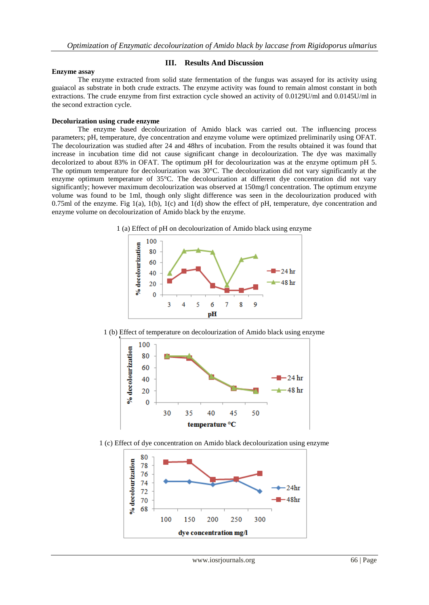## **III. Results And Discussion**

#### **Enzyme assay**

The enzyme extracted from solid state fermentation of the fungus was assayed for its activity using guaiacol as substrate in both crude extracts. The enzyme activity was found to remain almost constant in both extractions. The crude enzyme from first extraction cycle showed an activity of 0.0129U/ml and 0.0145U/ml in the second extraction cycle.

#### **Decolurization using crude enzyme**

The enzyme based decolourization of Amido black was carried out. The influencing process parameters; pH, temperature, dye concentration and enzyme volume were optimized preliminarily using OFAT. The decolourization was studied after 24 and 48hrs of incubation. From the results obtained it was found that increase in incubation time did not cause significant change in decolourization. The dye was maximally decolorized to about 83% in OFAT. The optimum pH for decolourization was at the enzyme optimum pH 5. The optimum temperature for decolourization was 30°C. The decolourization did not vary significantly at the enzyme optimum temperature of 35°C. The decolourization at different dye concentration did not vary significantly; however maximum decolourization was observed at 150mg/l concentration. The optimum enzyme volume was found to be 1ml, though only slight difference was seen in the decolourization produced with 0.75ml of the enzyme. Fig 1(a), 1(b), 1(c) and 1(d) show the effect of pH, temperature, dye concentration and enzyme volume on decolourization of Amido black by the enzyme.





1 (b) Effect of temperature on decolourization of Amido black using enzyme



1 (c) Effect of dye concentration on Amido black decolourization using enzyme

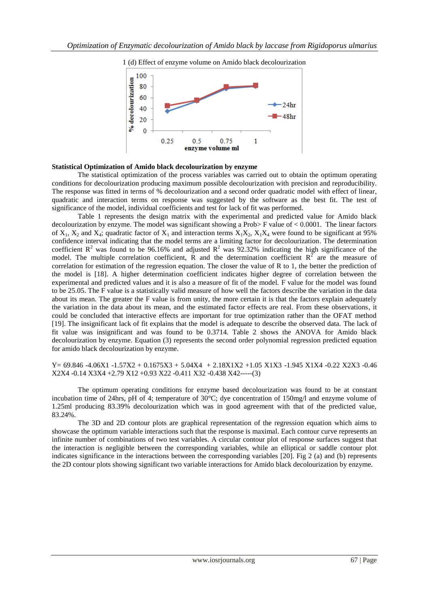

1 (d) Effect of enzyme volume on Amido black decolourization

## **Statistical Optimization of Amido black decolourization by enzyme**

The statistical optimization of the process variables was carried out to obtain the optimum operating conditions for decolourization producing maximum possible decolourization with precision and reproducibility. The response was fitted in terms of % decolourization and a second order quadratic model with effect of linear, quadratic and interaction terms on response was suggested by the software as the best fit. The test of significance of the model, individual coefficients and test for lack of fit was performed.

Table 1 represents the design matrix with the experimental and predicted value for Amido black decolourization by enzyme. The model was significant showing a Prob $>$  F value of  $< 0.0001$ . The linear factors of  $X_1, X_2$  and  $X_4$ ; quadratic factor of  $X_1$  and interaction terms  $X_1X_2, X_1X_4$  were found to be significant at 95% confidence interval indicating that the model terms are a limiting factor for decolourization. The determination coefficient  $R^2$  was found to be 96.16% and adjusted  $R^2$  was 92.32% indicating the high significance of the model. The multiple correlation coefficient, R and the determination coefficient  $R^2$  are the measure of correlation for estimation of the regression equation. The closer the value of R to 1, the better the prediction of the model is [18]. A higher determination coefficient indicates higher degree of correlation between the experimental and predicted values and it is also a measure of fit of the model. F value for the model was found to be 25.05. The F value is a statistically valid measure of how well the factors describe the variation in the data about its mean. The greater the F value is from unity, the more certain it is that the factors explain adequately the variation in the data about its mean, and the estimated factor effects are real. From these observations, it could be concluded that interactive effects are important for true optimization rather than the OFAT method [19]. The insignificant lack of fit explains that the model is adequate to describe the observed data. The lack of fit value was insignificant and was found to be 0.3714. Table 2 shows the ANOVA for Amido black decolourization by enzyme. Equation (3) represents the second order polynomial regression predicted equation for amido black decolourization by enzyme.

Y= 69.846 -4.06X1 -1.57X2 + 0.1675X3 + 5.04X4 + 2.18X1X2 +1.05 X1X3 -1.945 X1X4 -0.22 X2X3 -0.46 X2X4 -0.14 X3X4 +2.79 X12 +0.93 X22 -0.411 X32 -0.438 X42-----(3)

The optimum operating conditions for enzyme based decolourization was found to be at constant incubation time of 24hrs, pH of 4; temperature of 30°C; dye concentration of 150mg/l and enzyme volume of 1.25ml producing 83.39% decolourization which was in good agreement with that of the predicted value, 83.24%.

The 3D and 2D contour plots are graphical representation of the regression equation which aims to showcase the optimum variable interactions such that the response is maximal. Each contour curve represents an infinite number of combinations of two test variables. A circular contour plot of response surfaces suggest that the interaction is negligible between the corresponding variables, while an elliptical or saddle contour plot indicates significance in the interactions between the corresponding variables [20]. Fig 2 (a) and (b) represents the 2D contour plots showing significant two variable interactions for Amido black decolourization by enzyme.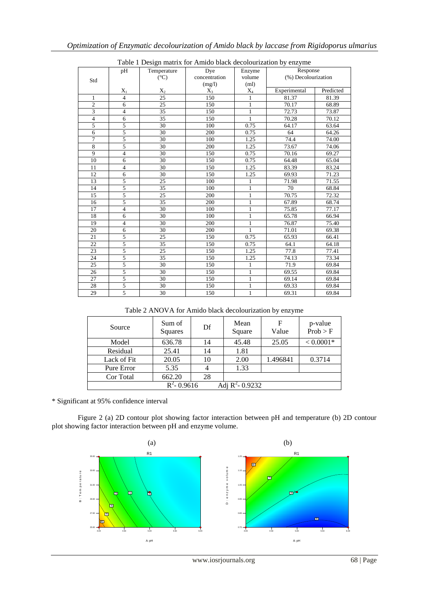| Table 1 Design matrix for Tringo black accolourization by enzyme |                |               |               |              |                     |           |  |  |  |  |
|------------------------------------------------------------------|----------------|---------------|---------------|--------------|---------------------|-----------|--|--|--|--|
|                                                                  | pH             | Temperature   | Dye           | Enzyme       | Response            |           |  |  |  |  |
| Std                                                              |                | $(^{\circ}C)$ | concentration | volume       | (%) Decolourization |           |  |  |  |  |
|                                                                  |                |               | (mg/l)        | (ml)         |                     |           |  |  |  |  |
|                                                                  | $X_1$          | $X_2$         | $X_3$         | $X_4$        | Experimental        | Predicted |  |  |  |  |
| $\mathbf{1}$                                                     | $\overline{4}$ | 25            | 150           | $\mathbf{1}$ | 81.37               | 81.39     |  |  |  |  |
| $\overline{c}$                                                   | 6              | 25            | 150           | $\mathbf{1}$ | 70.17               | 68.89     |  |  |  |  |
| 3                                                                | $\overline{4}$ | 35            | 150           | 1            | 72.73               | 73.87     |  |  |  |  |
| $\overline{4}$                                                   | 6              | 35            | 150           | $\mathbf{1}$ | 70.28               | 70.12     |  |  |  |  |
| 5                                                                | 5              | 30            | 100           | 0.75         | 64.17               | 63.64     |  |  |  |  |
| 6                                                                | 5              | 30            | 200           | 0.75         | 64                  | 64.26     |  |  |  |  |
| $\overline{7}$                                                   | 5              | 30            | 100           | 1.25         | 74.4                | 74.00     |  |  |  |  |
| 8                                                                | 5              | 30            | 200           | 1.25         | 73.67               | 74.06     |  |  |  |  |
| $\overline{9}$                                                   | $\overline{4}$ | 30            | 150           | 0.75         | 70.16               | 69.27     |  |  |  |  |
| 10                                                               | 6              | 30            | 150           | 0.75         | 64.48               | 65.04     |  |  |  |  |
| 11                                                               | $\overline{4}$ | 30            | 150           | 1.25         | 83.39               | 83.24     |  |  |  |  |
| 12                                                               | 6              | 30            | 150           | 1.25         | 69.93               | 71.23     |  |  |  |  |
| 13                                                               | 5              | 25            | 100           | $\mathbf{1}$ | 71.98               | 71.55     |  |  |  |  |
| 14                                                               | 5              | 35            | 100           | $\mathbf{1}$ | 70                  | 68.84     |  |  |  |  |
| 15                                                               | 5              | 25            | 200           | $\mathbf{1}$ | 70.75               | 72.32     |  |  |  |  |
| 16                                                               | $\overline{5}$ | 35            | 200           | $\mathbf{1}$ | 67.89               | 68.74     |  |  |  |  |
| 17                                                               | $\overline{4}$ | 30            | 100           | $\mathbf{1}$ | 75.85               | 77.17     |  |  |  |  |
| 18                                                               | 6              | 30            | 100           | $\mathbf{1}$ | 65.78               | 66.94     |  |  |  |  |
| 19                                                               | $\overline{4}$ | 30            | 200           | $\mathbf{1}$ | 76.87               | 75.40     |  |  |  |  |
| 20                                                               | 6              | 30            | 200           | $\mathbf{1}$ | 71.01               | 69.38     |  |  |  |  |
| 21                                                               | 5              | 25            | 150           | 0.75         | 65.93               | 66.41     |  |  |  |  |
| 22                                                               | 5              | 35            | 150           | 0.75         | 64.1                | 64.18     |  |  |  |  |
| 23                                                               | 5              | 25            | 150           | 1.25         | 77.8                | 77.41     |  |  |  |  |
| 24                                                               | 5              | 35            | 150           | 1.25         | 74.13               | 73.34     |  |  |  |  |
| 25                                                               | 5              | 30            | 150           | $\mathbf{1}$ | 71.9                | 69.84     |  |  |  |  |
| 26                                                               | 5              | 30            | 150           | $\mathbf{1}$ | 69.55               | 69.84     |  |  |  |  |
| 27                                                               | 5              | 30            | 150           | $\mathbf{1}$ | 69.14               | 69.84     |  |  |  |  |
| 28                                                               | 5              | 30            | 150           | $\mathbf{1}$ | 69.33               | 69.84     |  |  |  |  |
| 29                                                               | $\overline{5}$ | 30            | 150           | $\mathbf{1}$ | 69.31               | 69.84     |  |  |  |  |

Table 1 Design matrix for Amido black decolourization by enzyme

Table 2 ANOVA for Amido black decolourization by enzyme

| Source                               | Sum of<br>Squares | Df | Mean<br>Square | F<br>Value | p-value<br>Prob > F |  |  |  |  |
|--------------------------------------|-------------------|----|----------------|------------|---------------------|--|--|--|--|
| Model                                | 636.78            | 14 | 45.48          | 25.05      | $< 0.0001*$         |  |  |  |  |
| Residual                             | 25.41             | 14 | 1.81           |            |                     |  |  |  |  |
| Lack of Fit                          | 20.05             | 10 | 2.00           | 1.496841   | 0.3714              |  |  |  |  |
| Pure Error                           | 5.35              |    | 1.33           |            |                     |  |  |  |  |
| Cor Total                            | 662.20            | 28 |                |            |                     |  |  |  |  |
| $R^2 - 0.9616$<br>Adj $R^2$ - 0.9232 |                   |    |                |            |                     |  |  |  |  |

\* Significant at 95% confidence interval

Figure 2 (a) 2D contour plot showing factor interaction between pH and temperature (b) 2D contour plot showing factor interaction between pH and enzyme volume.